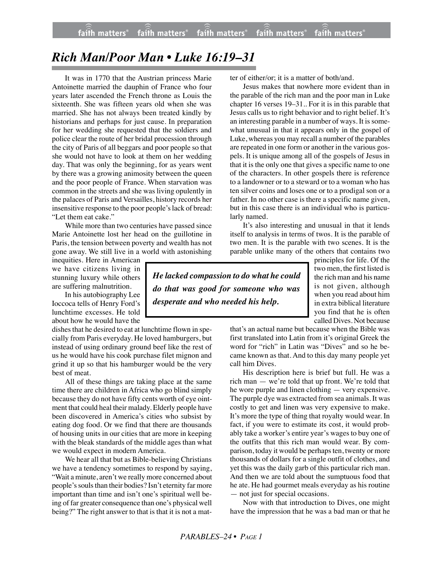## *Rich Man/Poor Man • Luke 16:19–31*

It was in 1770 that the Austrian princess Marie Antoinette married the dauphin of France who four years later ascended the French throne as Louis the sixteenth. She was fifteen years old when she was married. She has not always been treated kindly by historians and perhaps for just cause. In preparation for her wedding she requested that the soldiers and police clear the route of her bridal procession through the city of Paris of all beggars and poor people so that she would not have to look at them on her wedding day. That was only the beginning, for as years went by there was a growing animosity between the queen and the poor people of France. When starvation was common in the streets and she was living opulently in the palaces of Paris and Versailles, history records her insensitive response to the poor people's lack of bread: "Let them eat cake."

While more than two centuries have passed since Marie Antoinette lost her head on the guillotine in Paris, the tension between poverty and wealth has not gone away. We still live in a world with astonishing

inequities. Here in American we have citizens living in stunning luxury while others are suffering malnutrition.

In his autobiography Lee Ioccoca tells of Henry Ford's lunchtime excesses. He told about how he would have the

dishes that he desired to eat at lunchtime flown in specially from Paris everyday. He loved hamburgers, but instead of using ordinary ground beef like the rest of us he would have his cook purchase filet mignon and grind it up so that his hamburger would be the very best of meat.

All of these things are taking place at the same time there are children in Africa who go blind simply because they do not have fifty cents worth of eye ointment that could heal their malady. Elderly people have been discovered in America's cities who subsist by eating dog food. Or we find that there are thousands of housing units in our cities that are more in keeping with the bleak standards of the middle ages than what we would expect in modern America.

We hear all that but as Bible-believing Christians we have a tendency sometimes to respond by saying, "Wait a minute, aren't we really more concerned about people's souls than their bodies? Isn't eternity far more important than time and isn't one's spiritual well being of far greater consequence than one's physical well being?" The right answer to that is that it is not a matter of either/or; it is a matter of both/and.

Jesus makes that nowhere more evident than in the parable of the rich man and the poor man in Luke chapter 16 verses 19–31.. For it is in this parable that Jesus calls us to right behavior and to right belief. It's an interesting parable in a number of ways. It is somewhat unusual in that it appears only in the gospel of Luke, whereas you may recall a number of the parables are repeated in one form or another in the various gospels. It is unique among all of the gospels of Jesus in that it is the only one that gives a specific name to one of the characters. In other gospels there is reference to a landowner or to a steward or to a woman who has ten silver coins and loses one or to a prodigal son or a father. In no other case is there a specific name given, but in this case there is an individual who is particularly named.

It's also interesting and unusual in that it lends itself to analysis in terms of twos. It is the parable of two men. It is the parable with two scenes. It is the parable unlike many of the others that contains two

*He lacked compassion to do what he could do that was good for someone who was desperate and who needed his help.*

principles for life. Of the two men, the first listed is the rich man and his name is not given, although when you read about him in extra biblical literature you find that he is often called Dives. Not because

that's an actual name but because when the Bible was first translated into Latin from it's original Greek the word for "rich" in Latin was "Dives" and so he became known as that. And to this day many people yet call him Dives.

His description here is brief but full. He was a rich man — we're told that up front. We're told that he wore purple and linen clothing — very expensive. The purple dye was extracted from sea animals. It was costly to get and linen was very expensive to make. It's more the type of thing that royalty would wear. In fact, if you were to estimate its cost, it would probably take a worker's entire year's wages to buy one of the outfits that this rich man would wear. By comparison, today it would be perhaps ten, twenty or more thousands of dollars for a single outfit of clothes, and yet this was the daily garb of this particular rich man. And then we are told about the sumptuous food that he ate. He had gourmet meals everyday as his routine — not just for special occasions.

Now with that introduction to Dives, one might have the impression that he was a bad man or that he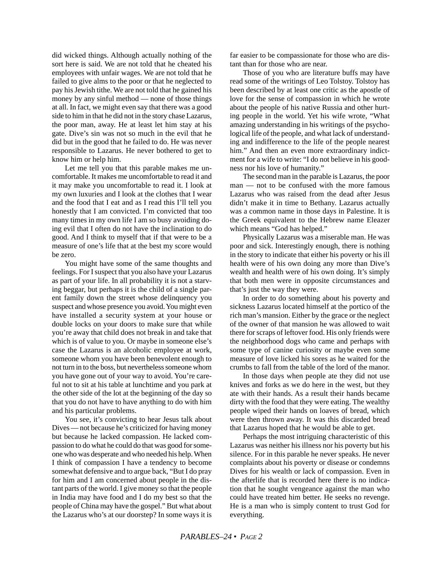did wicked things. Although actually nothing of the sort here is said. We are not told that he cheated his employees with unfair wages. We are not told that he failed to give alms to the poor or that he neglected to pay his Jewish tithe. We are not told that he gained his money by any sinful method — none of those things at all. In fact, we might even say that there was a good side to him in that he did not in the story chase Lazarus, the poor man, away. He at least let him stay at his gate. Dive's sin was not so much in the evil that he did but in the good that he failed to do. He was never responsible to Lazarus. He never bothered to get to know him or help him.

Let me tell you that this parable makes me uncomfortable. It makes me uncomfortable to read it and it may make you uncomfortable to read it. I look at my own luxuries and I look at the clothes that I wear and the food that I eat and as I read this I'll tell you honestly that I am convicted. I'm convicted that too many times in my own life I am so busy avoiding doing evil that I often do not have the inclination to do good. And I think to myself that if that were to be a measure of one's life that at the best my score would be zero.

You might have some of the same thoughts and feelings. For I suspect that you also have your Lazarus as part of your life. In all probability it is not a starving beggar, but perhaps it is the child of a single parent family down the street whose delinquency you suspect and whose presence you avoid. You might even have installed a security system at your house or double locks on your doors to make sure that while you're away that child does not break in and take that which is of value to you. Or maybe in someone else's case the Lazarus is an alcoholic employee at work, someone whom you have been benevolent enough to not turn in to the boss, but nevertheless someone whom you have gone out of your way to avoid. You're careful not to sit at his table at lunchtime and you park at the other side of the lot at the beginning of the day so that you do not have to have anything to do with him and his particular problems.

You see, it's convicting to hear Jesus talk about Dives — not because he's criticized for having money but because he lacked compassion. He lacked compassion to do what he could do that was good for someone who was desperate and who needed his help. When I think of compassion I have a tendency to become somewhat defensive and to argue back, "But I do pray for him and I am concerned about people in the distant parts of the world. I give money so that the people in India may have food and I do my best so that the people of China may have the gospel." But what about the Lazarus who's at our doorstep? In some ways it is far easier to be compassionate for those who are distant than for those who are near.

Those of you who are literature buffs may have read some of the writings of Leo Tolstoy. Tolstoy has been described by at least one critic as the apostle of love for the sense of compassion in which he wrote about the people of his native Russia and other hurting people in the world. Yet his wife wrote, "What amazing understanding in his writings of the psychological life of the people, and what lack of understanding and indifference to the life of the people nearest him." And then an even more extraordinary indictment for a wife to write: "I do not believe in his goodness nor his love of humanity."

The second man in the parable is Lazarus, the poor man — not to be confused with the more famous Lazarus who was raised from the dead after Jesus didn't make it in time to Bethany. Lazarus actually was a common name in those days in Palestine. It is the Greek equivalent to the Hebrew name Eleazer which means "God has helped."

Physically Lazarus was a miserable man. He was poor and sick. Interestingly enough, there is nothing in the story to indicate that either his poverty or his ill health were of his own doing any more than Dive's wealth and health were of his own doing. It's simply that both men were in opposite circumstances and that's just the way they were.

In order to do something about his poverty and sickness Lazarus located himself at the portico of the rich man's mansion. Either by the grace or the neglect of the owner of that mansion he was allowed to wait there for scraps of leftover food. His only friends were the neighborhood dogs who came and perhaps with some type of canine curiosity or maybe even some measure of love licked his sores as he waited for the crumbs to fall from the table of the lord of the manor.

In those days when people ate they did not use knives and forks as we do here in the west, but they ate with their hands. As a result their hands became dirty with the food that they were eating. The wealthy people wiped their hands on loaves of bread, which were then thrown away. It was this discarded bread that Lazarus hoped that he would be able to get.

Perhaps the most intriguing characteristic of this Lazarus was neither his illness nor his poverty but his silence. For in this parable he never speaks. He never complaints about his poverty or disease or condemns Dives for his wealth or lack of compassion. Even in the afterlife that is recorded here there is no indication that he sought vengeance against the man who could have treated him better. He seeks no revenge. He is a man who is simply content to trust God for everything.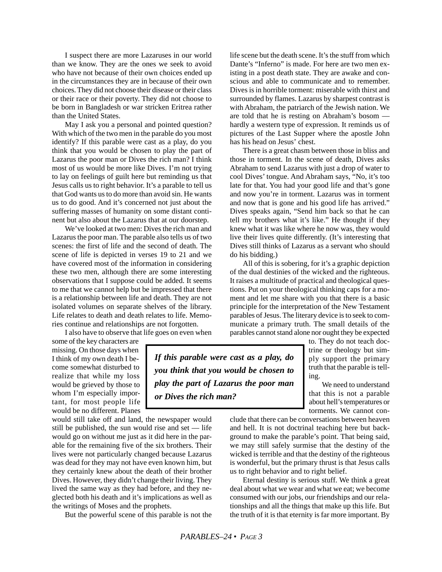I suspect there are more Lazaruses in our world than we know. They are the ones we seek to avoid who have not because of their own choices ended up in the circumstances they are in because of their own choices. They did not choose their disease or their class or their race or their poverty. They did not choose to be born in Bangladesh or war stricken Eritrea rather than the United States.

May I ask you a personal and pointed question? With which of the two men in the parable do you most identify? If this parable were cast as a play, do you think that you would be chosen to play the part of Lazarus the poor man or Dives the rich man? I think most of us would be more like Dives. I'm not trying to lay on feelings of guilt here but reminding us that Jesus calls us to right behavior. It's a parable to tell us that God wants us to do more than avoid sin. He wants us to do good. And it's concerned not just about the suffering masses of humanity on some distant continent but also about the Lazarus that at our doorstep.

We've looked at two men: Dives the rich man and Lazarus the poor man. The parable also tells us of two scenes: the first of life and the second of death. The scene of life is depicted in verses 19 to 21 and we have covered most of the information in considering these two men, although there are some interesting observations that I suppose could be added. It seems to me that we cannot help but be impressed that there is a relationship between life and death. They are not isolated volumes on separate shelves of the library. Life relates to death and death relates to life. Memories continue and relationships are not forgotten.

I also have to observe that life goes on even when some of the key characters are missing. On those days when I think of my own death I become somewhat disturbed to realize that while my loss would be grieved by those to whom I'm especially important, for most people life would be no different. Planes

would still take off and land, the newspaper would still be published, the sun would rise and set — life would go on without me just as it did here in the parable for the remaining five of the six brothers. Their lives were not particularly changed because Lazarus was dead for they may not have even known him, but they certainly knew about the death of their brother Dives. However, they didn't change their living. They lived the same way as they had before, and they neglected both his death and it's implications as well as the writings of Moses and the prophets.

But the powerful scene of this parable is not the

life scene but the death scene. It's the stuff from which Dante's "Inferno" is made. For here are two men existing in a post death state. They are awake and conscious and able to communicate and to remember. Dives is in horrible torment: miserable with thirst and surrounded by flames. Lazarus by sharpest contrast is with Abraham, the patriarch of the Jewish nation. We are told that he is resting on Abraham's bosom hardly a western type of expression. It reminds us of pictures of the Last Supper where the apostle John has his head on Jesus' chest.

There is a great chasm between those in bliss and those in torment. In the scene of death, Dives asks Abraham to send Lazarus with just a drop of water to cool Dives' tongue. And Abraham says, "No, it's too late for that. You had your good life and that's gone and now you're in torment. Lazarus was in torment and now that is gone and his good life has arrived." Dives speaks again, "Send him back so that he can tell my brothers what it's like." He thought if they knew what it was like where he now was, they would live their lives quite differently. (It's interesting that Dives still thinks of Lazarus as a servant who should do his bidding.)

All of this is sobering, for it's a graphic depiction of the dual destinies of the wicked and the righteous. It raises a multitude of practical and theological questions. Put on your theological thinking caps for a moment and let me share with you that there is a basic principle for the interpretation of the New Testament parables of Jesus. The literary device is to seek to communicate a primary truth. The small details of the parables cannot stand alone nor ought they be expected

*If this parable were cast as a play, do you think that you would be chosen to play the part of Lazarus the poor man or Dives the rich man?*

to. They do not teach doctrine or theology but simply support the primary truth that the parable is telling.

We need to understand that this is not a parable about hell's temperatures or torments. We cannot con-

clude that there can be conversations between heaven and hell. It is not doctrinal teaching here but background to make the parable's point. That being said, we may still safely surmise that the destiny of the wicked is terrible and that the destiny of the righteous is wonderful, but the primary thrust is that Jesus calls us to right behavior and to right belief.

Eternal destiny is serious stuff. We think a great deal about what we wear and what we eat; we become consumed with our jobs, our friendships and our relationships and all the things that make up this life. But the truth of it is that eternity is far more important. By